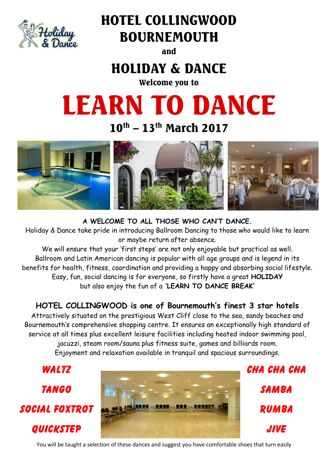

# HOTEL COLLINGWOOD, BOURNEMOUTH

and

# HOLIDAY & DANCE

Welcome you to

# LEARN TO DANCE

 $10^{\text{th}}$  –  $13^{\text{th}}$  March 2017



**A WELCOME TO ALL THOSE WHO CAN'T DANCE.**

Holiday & Dance take pride in introducing Ballroom Dancing to those who would like to learn or maybe return after absence.

We will ensure that your 'first steps' are not only enjoyable but practical as well. Ballroom and Latin American dancing is popular with all age groups and is legend in its benefits for health, fitness, coordination and providing a happy and absorbing social lifestyle. Easy, fun, social dancing is for everyone, so firstly have a great **HOLIDAY** but also enjoy the fun of a **'LEARN TO DANCE BREAK'**

**HOTEL COLLINGWOOD is one of Bournemouth's finest 3 star hotels** 

Attractively situated on the prestigious West Cliff close to the sea, sandy beaches and Bournemouth's comprehensive shopping centre. It ensures an exceptionally high standard of service at all times plus excellent leisure facilities including heated indoor swimming pool, jacuzzi, steam room/sauna plus fitness suite, games and billiards room. Enjoyment and relaxation available in tranquil and spacious surroundings.



SAMBA RUMBA JIVE

You will be taught a selection of these dances and suggest you have comfortable shoes that turn easily